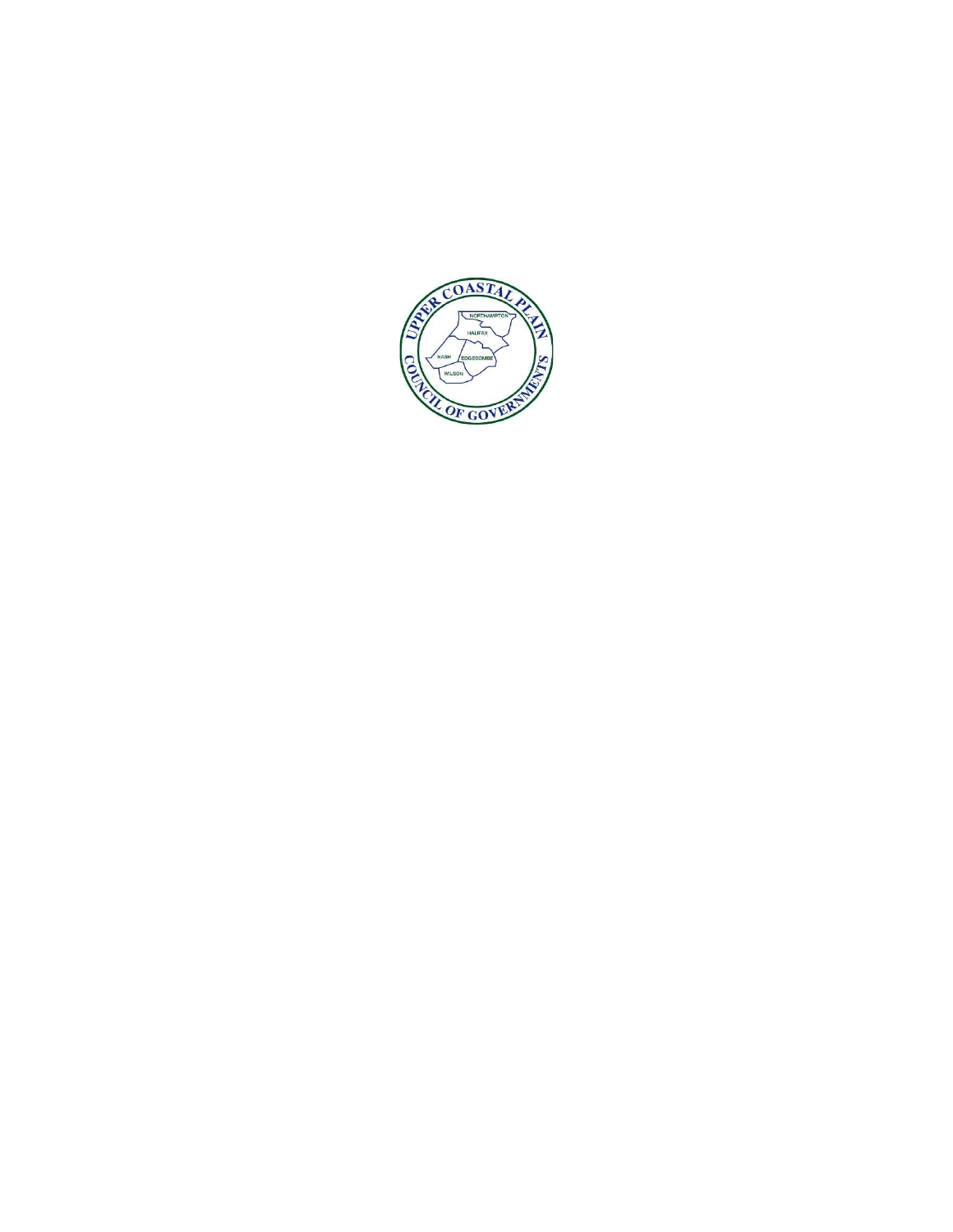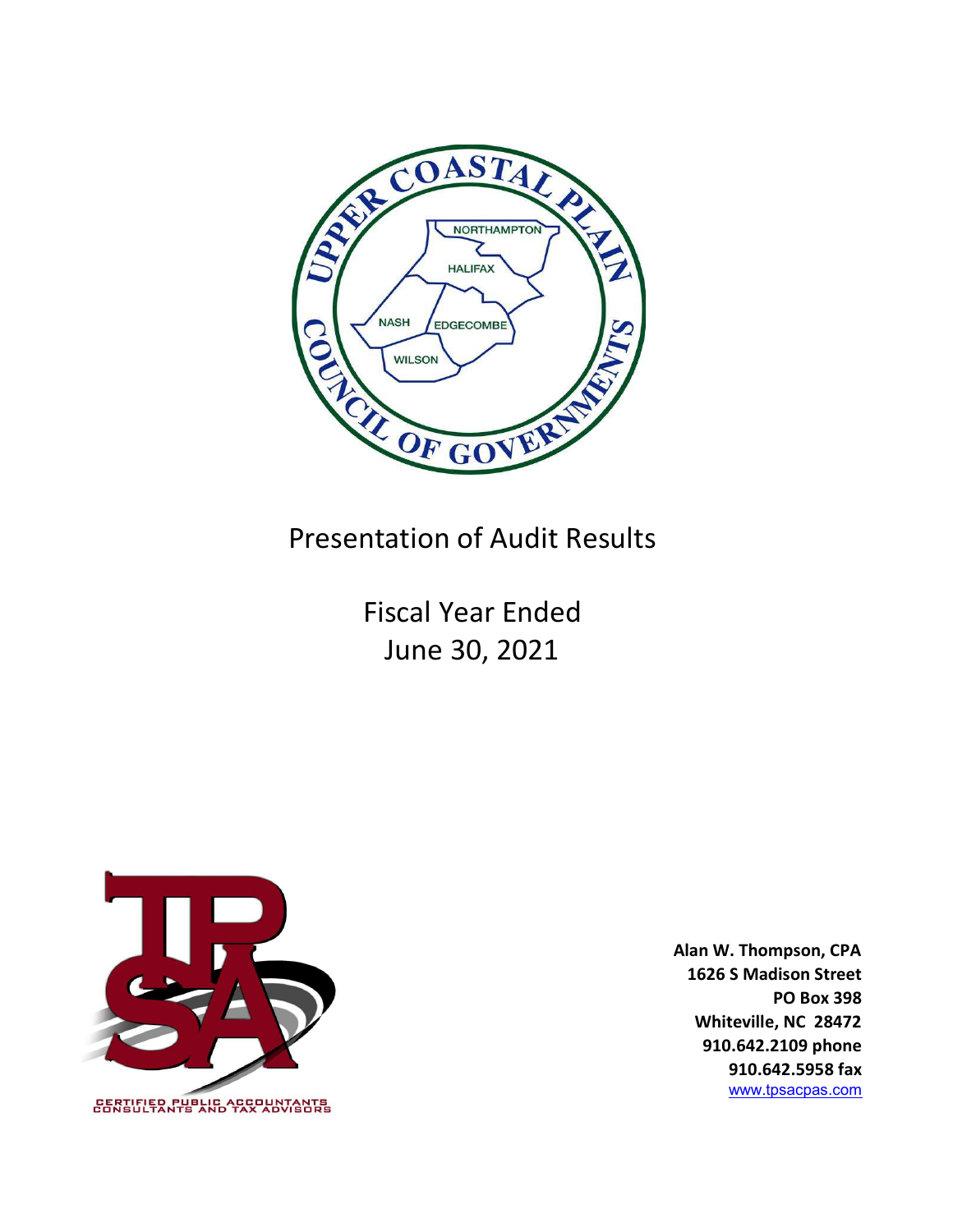

Presentation of Audit Results

Fiscal Year Ended June 30, 2021



Alan W. Thompson, CPA 1626 S Madison Street PO Box 398 Whiteville, NC 28472 910.642.2109 phone 910.642.5958 fax www.tpsacpas.com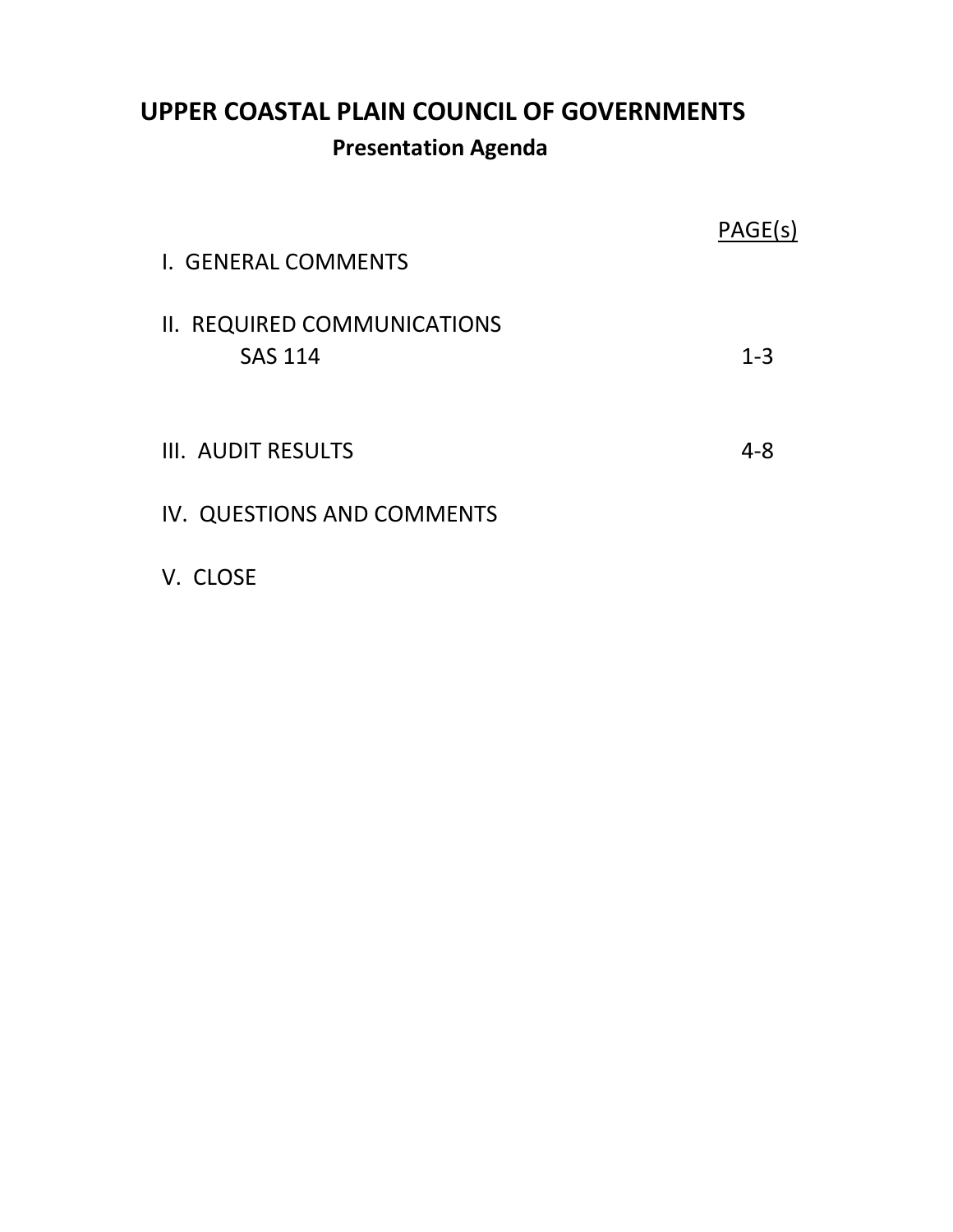# UPPER COASTAL PLAIN COUNCIL OF GOVERNMENTS Presentation Agenda

| I. GENERAL COMMENTS                           | PAGE(s) |
|-----------------------------------------------|---------|
| II. REQUIRED COMMUNICATIONS<br><b>SAS 114</b> | $1 - 3$ |
| III. AUDIT RESULTS                            | $4 - 8$ |
| IV. QUESTIONS AND COMMENTS                    |         |

V. CLOSE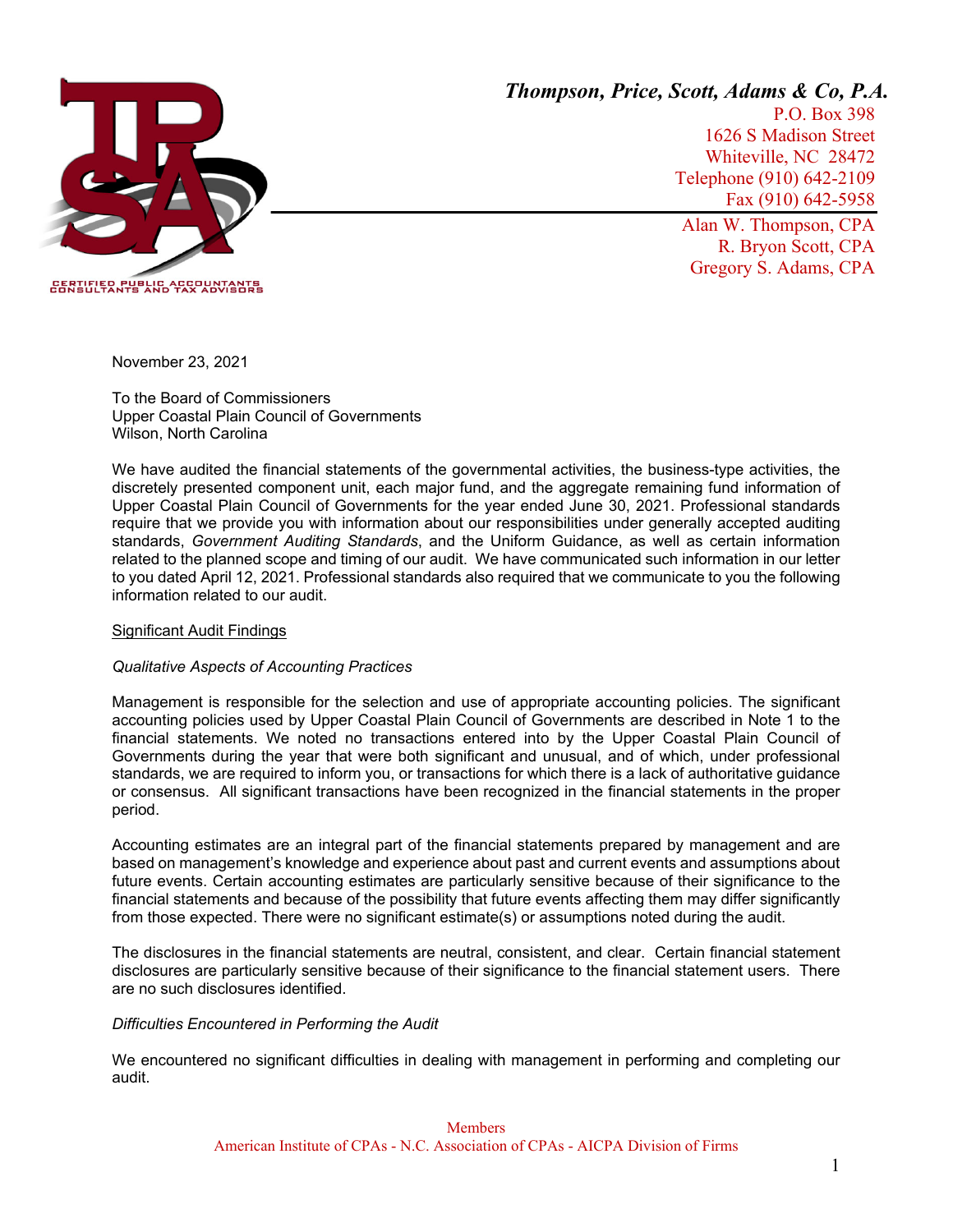

*Thompson, Price, Scott, Adams & Co, P.A.* 

P.O. Box 398 1626 S Madison Street Whiteville, NC 28472 Telephone (910) 642-2109 Fax (910) 642-5958

Alan W. Thompson, CPA R. Bryon Scott, CPA Gregory S. Adams, CPA

November 23, 2021

To the Board of Commissioners Upper Coastal Plain Council of Governments Wilson, North Carolina

We have audited the financial statements of the governmental activities, the business-type activities, the discretely presented component unit, each major fund, and the aggregate remaining fund information of Upper Coastal Plain Council of Governments for the year ended June 30, 2021. Professional standards require that we provide you with information about our responsibilities under generally accepted auditing standards, *Government Auditing Standards*, and the Uniform Guidance, as well as certain information related to the planned scope and timing of our audit. We have communicated such information in our letter to you dated April 12, 2021. Professional standards also required that we communicate to you the following information related to our audit.

#### Significant Audit Findings

#### *Qualitative Aspects of Accounting Practices*

Management is responsible for the selection and use of appropriate accounting policies. The significant accounting policies used by Upper Coastal Plain Council of Governments are described in Note 1 to the financial statements. We noted no transactions entered into by the Upper Coastal Plain Council of Governments during the year that were both significant and unusual, and of which, under professional standards, we are required to inform you, or transactions for which there is a lack of authoritative guidance or consensus. All significant transactions have been recognized in the financial statements in the proper period.

Accounting estimates are an integral part of the financial statements prepared by management and are based on management's knowledge and experience about past and current events and assumptions about future events. Certain accounting estimates are particularly sensitive because of their significance to the financial statements and because of the possibility that future events affecting them may differ significantly from those expected. There were no significant estimate(s) or assumptions noted during the audit.

The disclosures in the financial statements are neutral, consistent, and clear. Certain financial statement disclosures are particularly sensitive because of their significance to the financial statement users. There are no such disclosures identified.

#### *Difficulties Encountered in Performing the Audit*

We encountered no significant difficulties in dealing with management in performing and completing our audit.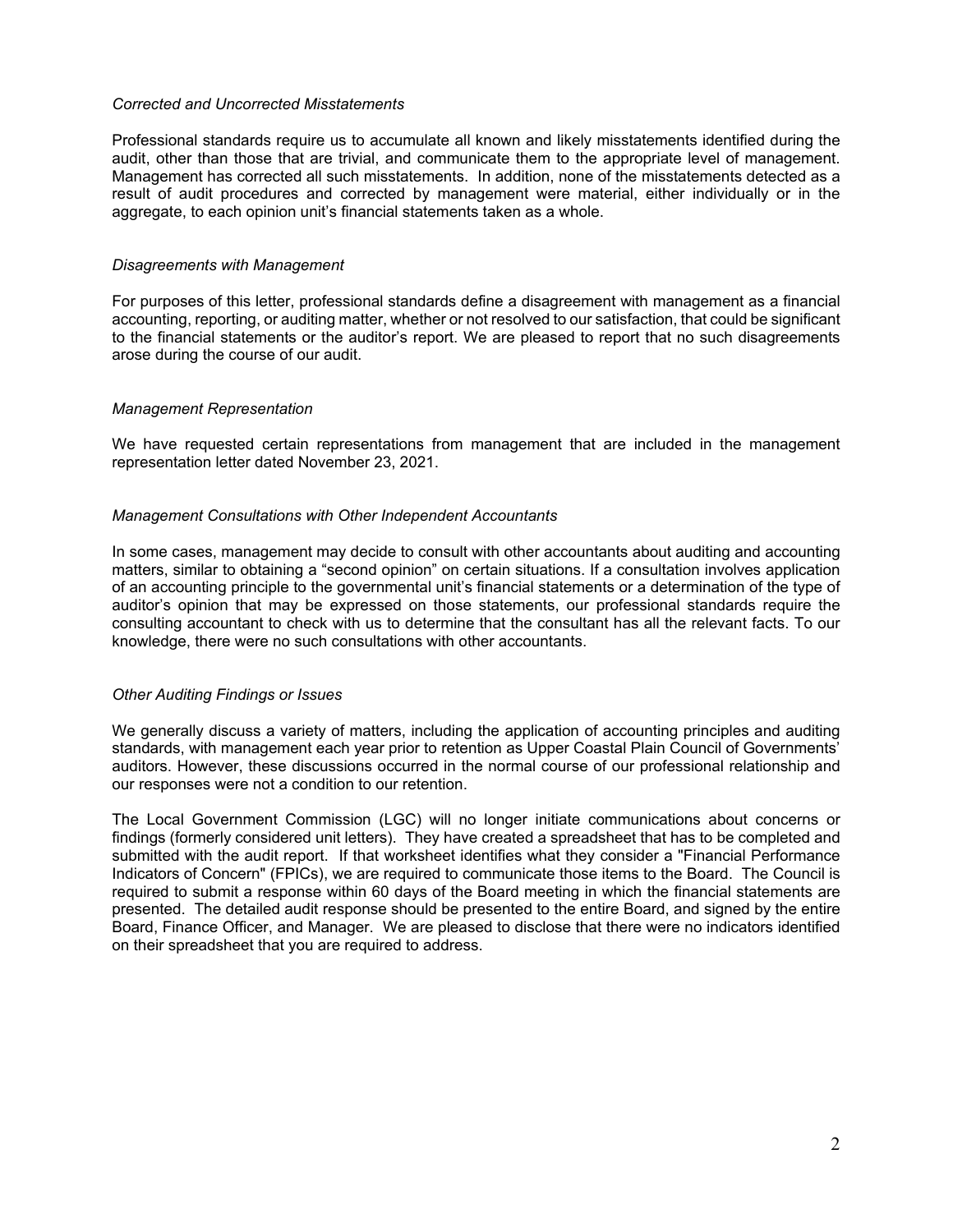#### *Corrected and Uncorrected Misstatements*

Professional standards require us to accumulate all known and likely misstatements identified during the audit, other than those that are trivial, and communicate them to the appropriate level of management. Management has corrected all such misstatements. In addition, none of the misstatements detected as a result of audit procedures and corrected by management were material, either individually or in the aggregate, to each opinion unit's financial statements taken as a whole.

#### *Disagreements with Management*

For purposes of this letter, professional standards define a disagreement with management as a financial accounting, reporting, or auditing matter, whether or not resolved to our satisfaction, that could be significant to the financial statements or the auditor's report. We are pleased to report that no such disagreements arose during the course of our audit.

#### *Management Representation*

We have requested certain representations from management that are included in the management representation letter dated November 23, 2021.

#### *Management Consultations with Other Independent Accountants*

In some cases, management may decide to consult with other accountants about auditing and accounting matters, similar to obtaining a "second opinion" on certain situations. If a consultation involves application of an accounting principle to the governmental unit's financial statements or a determination of the type of auditor's opinion that may be expressed on those statements, our professional standards require the consulting accountant to check with us to determine that the consultant has all the relevant facts. To our knowledge, there were no such consultations with other accountants.

#### *Other Auditing Findings or Issues*

We generally discuss a variety of matters, including the application of accounting principles and auditing standards, with management each year prior to retention as Upper Coastal Plain Council of Governments' auditors. However, these discussions occurred in the normal course of our professional relationship and our responses were not a condition to our retention.

The Local Government Commission (LGC) will no longer initiate communications about concerns or findings (formerly considered unit letters). They have created a spreadsheet that has to be completed and submitted with the audit report. If that worksheet identifies what they consider a "Financial Performance Indicators of Concern" (FPICs), we are required to communicate those items to the Board. The Council is required to submit a response within 60 days of the Board meeting in which the financial statements are presented. The detailed audit response should be presented to the entire Board, and signed by the entire Board, Finance Officer, and Manager. We are pleased to disclose that there were no indicators identified on their spreadsheet that you are required to address.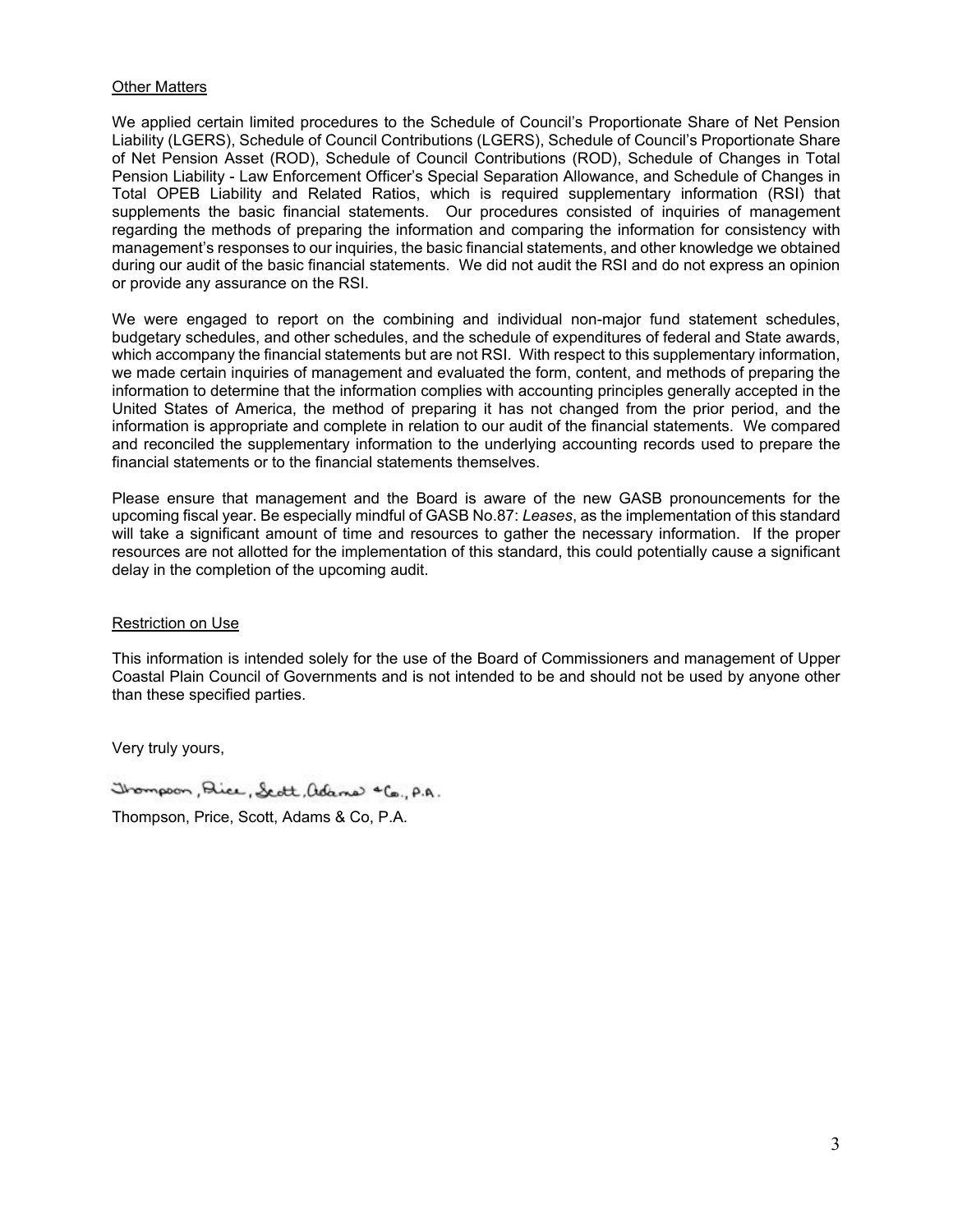#### Other Matters

We applied certain limited procedures to the Schedule of Council's Proportionate Share of Net Pension Liability (LGERS), Schedule of Council Contributions (LGERS), Schedule of Council's Proportionate Share of Net Pension Asset (ROD), Schedule of Council Contributions (ROD), Schedule of Changes in Total Pension Liability - Law Enforcement Officer's Special Separation Allowance, and Schedule of Changes in Total OPEB Liability and Related Ratios, which is required supplementary information (RSI) that supplements the basic financial statements. Our procedures consisted of inquiries of management regarding the methods of preparing the information and comparing the information for consistency with management's responses to our inquiries, the basic financial statements, and other knowledge we obtained during our audit of the basic financial statements. We did not audit the RSI and do not express an opinion or provide any assurance on the RSI.

We were engaged to report on the combining and individual non-major fund statement schedules, budgetary schedules, and other schedules, and the schedule of expenditures of federal and State awards, which accompany the financial statements but are not RSI. With respect to this supplementary information, we made certain inquiries of management and evaluated the form, content, and methods of preparing the information to determine that the information complies with accounting principles generally accepted in the United States of America, the method of preparing it has not changed from the prior period, and the information is appropriate and complete in relation to our audit of the financial statements. We compared and reconciled the supplementary information to the underlying accounting records used to prepare the financial statements or to the financial statements themselves.

Please ensure that management and the Board is aware of the new GASB pronouncements for the upcoming fiscal year. Be especially mindful of GASB No.87: *Leases*, as the implementation of this standard will take a significant amount of time and resources to gather the necessary information. If the proper resources are not allotted for the implementation of this standard, this could potentially cause a significant delay in the completion of the upcoming audit.

#### Restriction on Use

This information is intended solely for the use of the Board of Commissioners and management of Upper Coastal Plain Council of Governments and is not intended to be and should not be used by anyone other than these specified parties.

Very truly yours,

Trompson, Dice, Sept, adams "Co., P.A.

Thompson, Price, Scott, Adams & Co, P.A.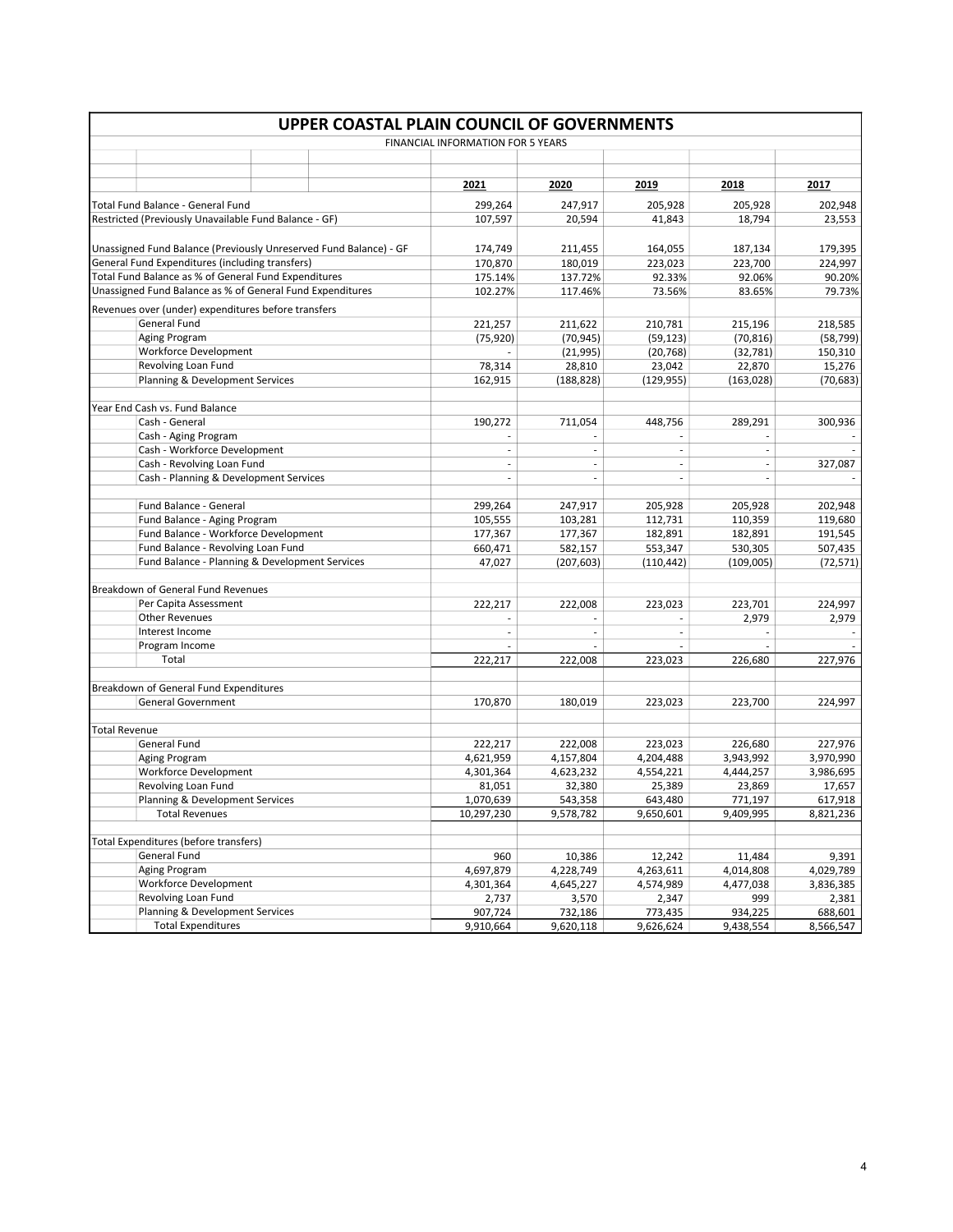| <b>UPPER COASTAL PLAIN COUNCIL OF GOVERNMENTS</b>                                                                    |                                                           |  |         |                                   |                          |                          |            |           |
|----------------------------------------------------------------------------------------------------------------------|-----------------------------------------------------------|--|---------|-----------------------------------|--------------------------|--------------------------|------------|-----------|
|                                                                                                                      |                                                           |  |         | FINANCIAL INFORMATION FOR 5 YEARS |                          |                          |            |           |
|                                                                                                                      |                                                           |  |         |                                   |                          |                          |            |           |
|                                                                                                                      |                                                           |  |         |                                   |                          |                          |            |           |
|                                                                                                                      |                                                           |  |         | 2021                              | 2020                     | 2019                     | 2018       | 2017      |
|                                                                                                                      | Total Fund Balance - General Fund                         |  |         | 299,264                           | 247,917                  | 205,928                  | 205,928    | 202,948   |
|                                                                                                                      | Restricted (Previously Unavailable Fund Balance - GF)     |  |         | 107,597                           | 20,594                   | 41,843                   | 18,794     | 23,553    |
|                                                                                                                      |                                                           |  |         |                                   |                          |                          |            |           |
|                                                                                                                      |                                                           |  |         |                                   |                          |                          |            | 179,395   |
| Unassigned Fund Balance (Previously Unreserved Fund Balance) - GF<br>General Fund Expenditures (including transfers) |                                                           |  | 174,749 | 211,455                           | 164,055                  | 187,134                  |            |           |
|                                                                                                                      | Total Fund Balance as % of General Fund Expenditures      |  |         | 170,870                           | 180,019                  | 223,023                  | 223,700    | 224,997   |
|                                                                                                                      | Unassigned Fund Balance as % of General Fund Expenditures |  |         | 175.14%                           | 137.72%                  | 92.33%                   | 92.06%     | 90.20%    |
|                                                                                                                      |                                                           |  |         | 102.27%                           | 117.46%                  | 73.56%                   | 83.65%     | 79.73%    |
|                                                                                                                      | Revenues over (under) expenditures before transfers       |  |         |                                   |                          |                          |            |           |
|                                                                                                                      | General Fund                                              |  |         | 221,257                           | 211,622                  | 210,781                  | 215,196    | 218,585   |
|                                                                                                                      | Aging Program                                             |  |         | (75, 920)                         | (70, 945)                | (59, 123)                | (70, 816)  | (58, 799) |
|                                                                                                                      | <b>Workforce Development</b>                              |  |         |                                   | (21, 995)                | (20, 768)                | (32, 781)  | 150,310   |
|                                                                                                                      | Revolving Loan Fund                                       |  |         | 78,314                            | 28,810                   | 23,042                   | 22,870     | 15,276    |
|                                                                                                                      | Planning & Development Services                           |  |         | 162,915                           | (188, 828)               | (129, 955)               | (163, 028) | (70, 683) |
|                                                                                                                      |                                                           |  |         |                                   |                          |                          |            |           |
|                                                                                                                      | Year End Cash vs. Fund Balance                            |  |         |                                   |                          |                          |            |           |
|                                                                                                                      | Cash - General                                            |  |         | 190,272                           | 711,054                  | 448,756                  | 289,291    | 300,936   |
|                                                                                                                      | Cash - Aging Program                                      |  |         |                                   |                          |                          |            |           |
|                                                                                                                      | Cash - Workforce Development                              |  |         | $\overline{\phantom{a}}$          | ä,                       | ÷,                       |            |           |
|                                                                                                                      | Cash - Revolving Loan Fund                                |  |         | $\overline{\phantom{a}}$          | ä,                       | ÷,                       | $\sim$     | 327,087   |
|                                                                                                                      | Cash - Planning & Development Services                    |  |         | $\blacksquare$                    | $\overline{\phantom{a}}$ | ÷,                       |            |           |
|                                                                                                                      |                                                           |  |         |                                   |                          |                          |            |           |
|                                                                                                                      | Fund Balance - General                                    |  |         | 299,264                           | 247,917                  | 205,928                  | 205,928    | 202,948   |
|                                                                                                                      | Fund Balance - Aging Program                              |  |         | 105,555                           | 103,281                  | 112,731                  | 110,359    | 119,680   |
|                                                                                                                      | Fund Balance - Workforce Development                      |  |         | 177,367                           | 177,367                  | 182,891                  | 182,891    | 191,545   |
|                                                                                                                      | Fund Balance - Revolving Loan Fund                        |  |         | 660,471                           | 582,157                  | 553,347                  | 530,305    | 507,435   |
|                                                                                                                      | Fund Balance - Planning & Development Services            |  |         | 47,027                            | (207, 603)               | (110, 442)               | (109,005)  | (72, 571) |
|                                                                                                                      |                                                           |  |         |                                   |                          |                          |            |           |
|                                                                                                                      | Breakdown of General Fund Revenues                        |  |         |                                   |                          |                          |            |           |
|                                                                                                                      | Per Capita Assessment                                     |  |         | 222,217                           | 222,008                  | 223,023                  | 223,701    | 224,997   |
|                                                                                                                      | <b>Other Revenues</b>                                     |  |         |                                   |                          |                          | 2,979      | 2,979     |
|                                                                                                                      | Interest Income                                           |  |         | $\overline{\phantom{a}}$          | ä,                       | $\overline{\phantom{a}}$ |            |           |
|                                                                                                                      | Program Income                                            |  |         |                                   |                          |                          |            |           |
|                                                                                                                      | Total                                                     |  |         | 222,217                           | 222,008                  | 223,023                  | 226,680    | 227,976   |
|                                                                                                                      |                                                           |  |         |                                   |                          |                          |            |           |
|                                                                                                                      | Breakdown of General Fund Expenditures                    |  |         |                                   |                          |                          |            |           |
|                                                                                                                      | <b>General Government</b>                                 |  |         | 170,870                           | 180,019                  | 223,023                  | 223,700    | 224,997   |
|                                                                                                                      |                                                           |  |         |                                   |                          |                          |            |           |
|                                                                                                                      | <b>Total Revenue</b>                                      |  |         |                                   |                          |                          |            |           |
|                                                                                                                      | General Fund                                              |  |         | 222,217                           | 222,008                  | 223,023                  | 226,680    | 227,976   |
|                                                                                                                      | Aging Program                                             |  |         | 4,621,959                         | 4,157,804                | 4,204,488                | 3,943,992  | 3,970,990 |
|                                                                                                                      | Workforce Development                                     |  |         | 4,301,364                         | 4,623,232                | 4,554,221                | 4,444,257  | 3,986,695 |
|                                                                                                                      | Revolving Loan Fund                                       |  |         | 81,051                            | 32,380                   | 25,389                   | 23,869     | 17,657    |
|                                                                                                                      | Planning & Development Services                           |  |         | 1,070,639                         | 543,358                  | 643,480                  | 771,197    | 617,918   |
|                                                                                                                      | Total Revenues                                            |  |         | 10,297,230                        | 9,578,782                | 9,650,601                | 9,409,995  | 8,821,236 |
|                                                                                                                      |                                                           |  |         |                                   |                          |                          |            |           |
|                                                                                                                      | Total Expenditures (before transfers)                     |  |         |                                   |                          |                          |            |           |
|                                                                                                                      | General Fund                                              |  |         | 960                               | 10,386                   | 12,242                   | 11,484     | 9,391     |
|                                                                                                                      | Aging Program                                             |  |         | 4,697,879                         | 4,228,749                | 4,263,611                | 4,014,808  | 4,029,789 |
|                                                                                                                      | <b>Workforce Development</b>                              |  |         | 4,301,364                         | 4,645,227                | 4,574,989                | 4,477,038  | 3,836,385 |
|                                                                                                                      | Revolving Loan Fund                                       |  |         | 2,737                             | 3,570                    | 2,347                    | 999        | 2,381     |
|                                                                                                                      | Planning & Development Services                           |  |         | 907,724                           | 732,186                  | 773,435                  | 934,225    | 688,601   |
|                                                                                                                      | <b>Total Expenditures</b>                                 |  |         | 9,910,664                         | 9,620,118                | 9,626,624                | 9,438,554  | 8,566,547 |
|                                                                                                                      |                                                           |  |         |                                   |                          |                          |            |           |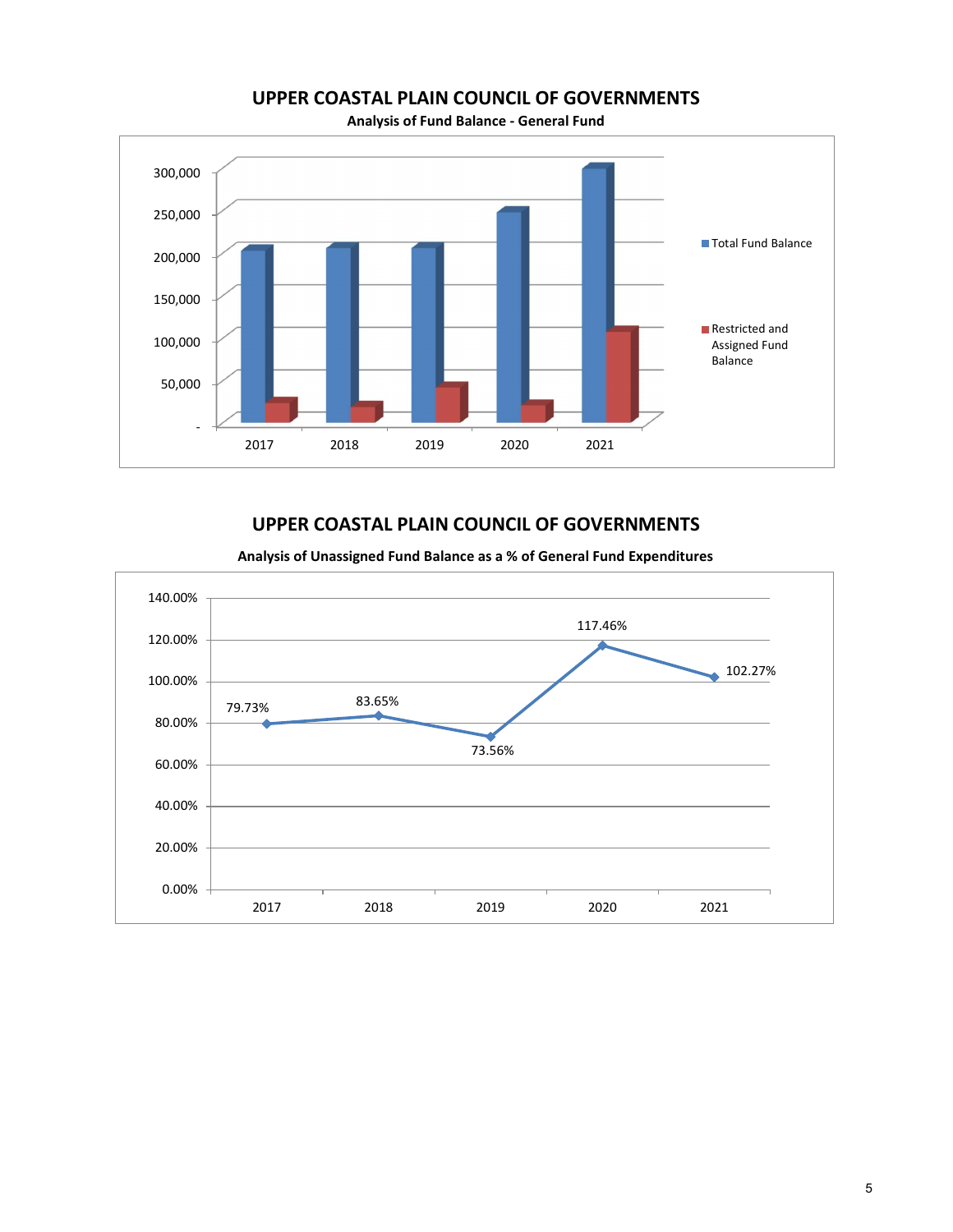

Analysis of Fund Balance - General Fund

# UPPER COASTAL PLAIN COUNCIL OF GOVERNMENTS

Analysis of Unassigned Fund Balance as a % of General Fund Expenditures

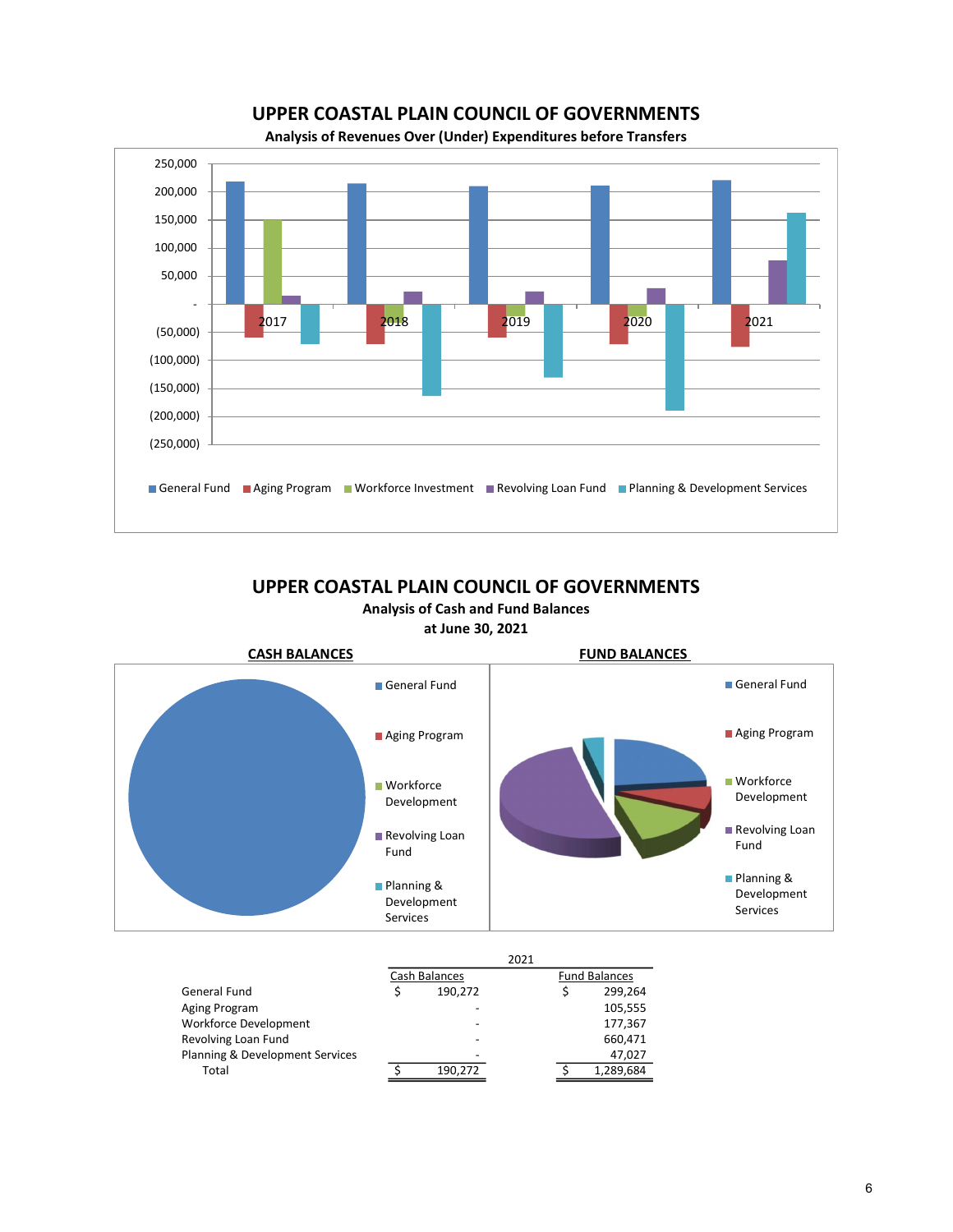UPPER COASTAL PLAIN COUNCIL OF GOVERNMENTS





Analysis of Cash and Fund Balances at June 30, 2021



|                                 |               | 2021 |                      |           |
|---------------------------------|---------------|------|----------------------|-----------|
|                                 | Cash Balances |      | <b>Fund Balances</b> |           |
| General Fund                    | 190,272       |      |                      | 299,264   |
| Aging Program                   |               |      |                      | 105,555   |
| <b>Workforce Development</b>    |               |      |                      | 177,367   |
| Revolving Loan Fund             |               |      |                      | 660,471   |
| Planning & Development Services |               |      |                      | 47,027    |
| Total                           | 190.272       |      |                      | 1,289,684 |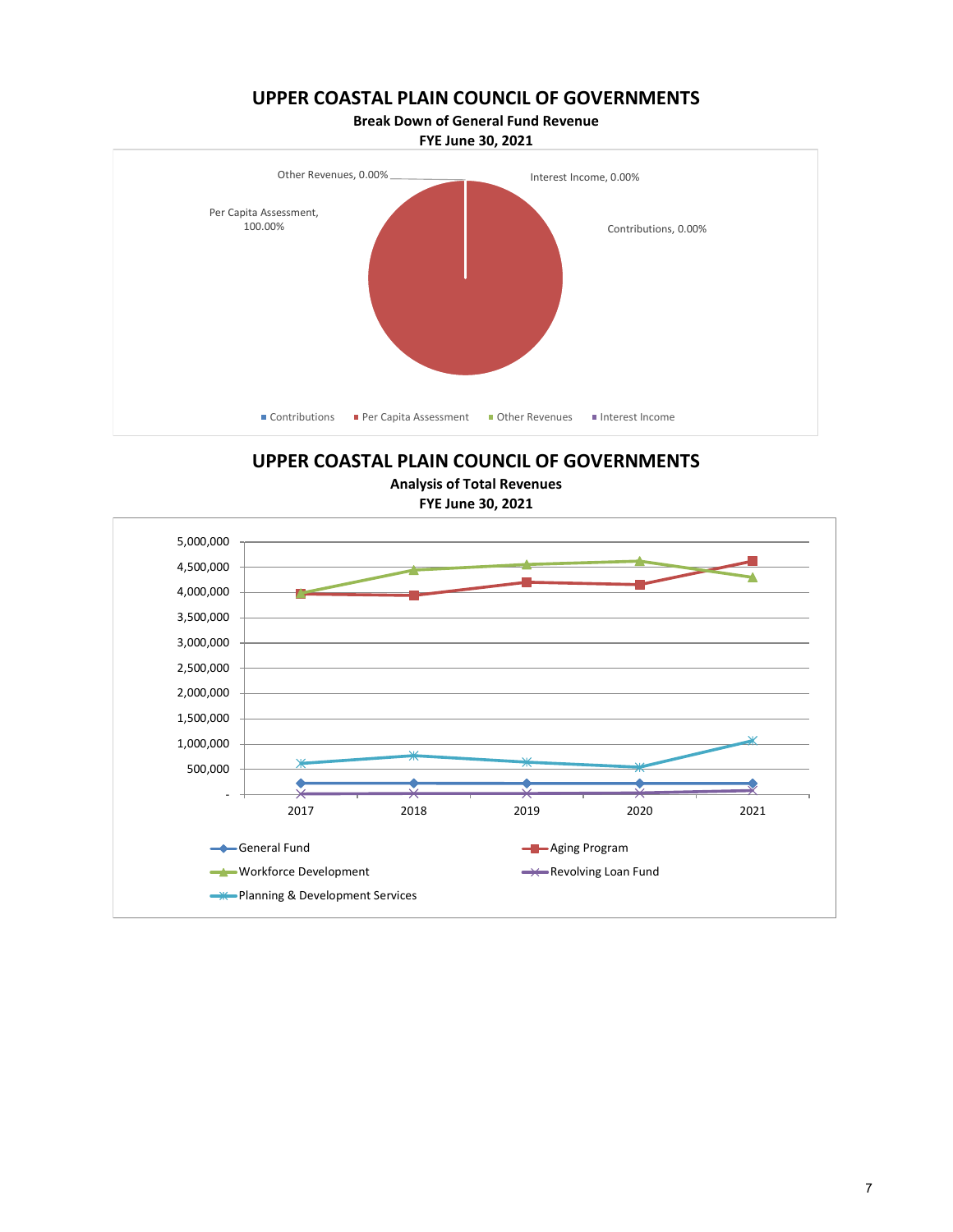Break Down of General Fund Revenue

FYE June 30, 2021



UPPER COASTAL PLAIN COUNCIL OF GOVERNMENTS

Analysis of Total Revenues

FYE June 30, 2021